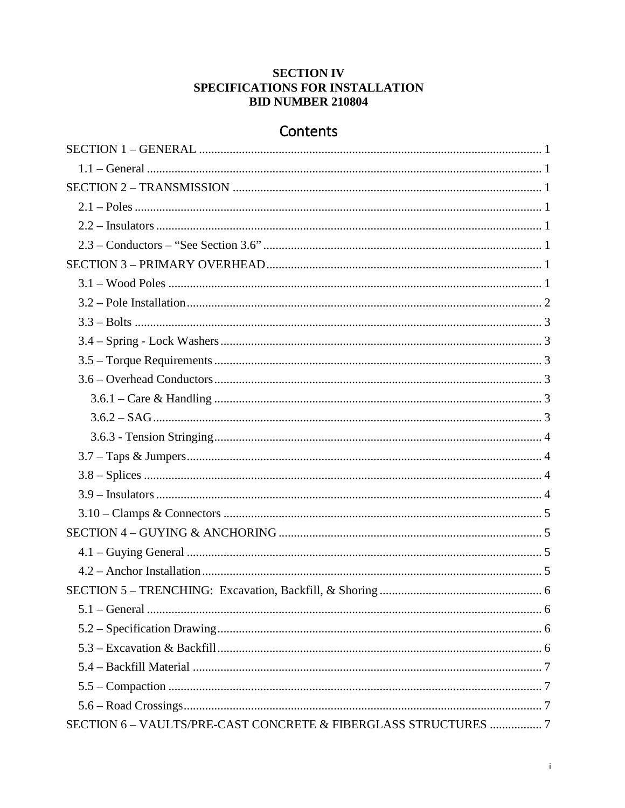# **SECTION IV** SPECIFICATIONS FOR INSTALLATION **BID NUMBER 210804**

# Contents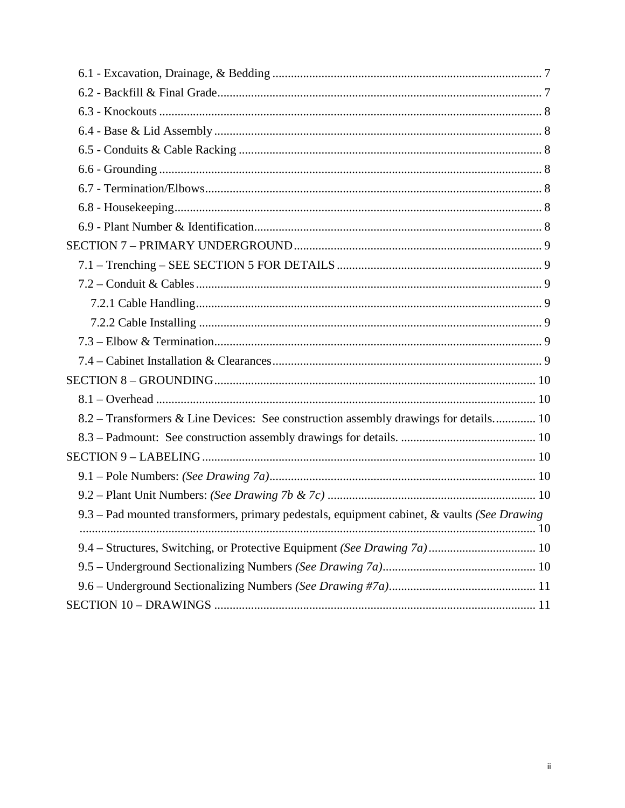| 8.2 – Transformers & Line Devices: See construction assembly drawings for details 10        |  |
|---------------------------------------------------------------------------------------------|--|
|                                                                                             |  |
|                                                                                             |  |
|                                                                                             |  |
|                                                                                             |  |
| 9.3 - Pad mounted transformers, primary pedestals, equipment cabinet, & vaults (See Drawing |  |
|                                                                                             |  |
|                                                                                             |  |
|                                                                                             |  |
|                                                                                             |  |
|                                                                                             |  |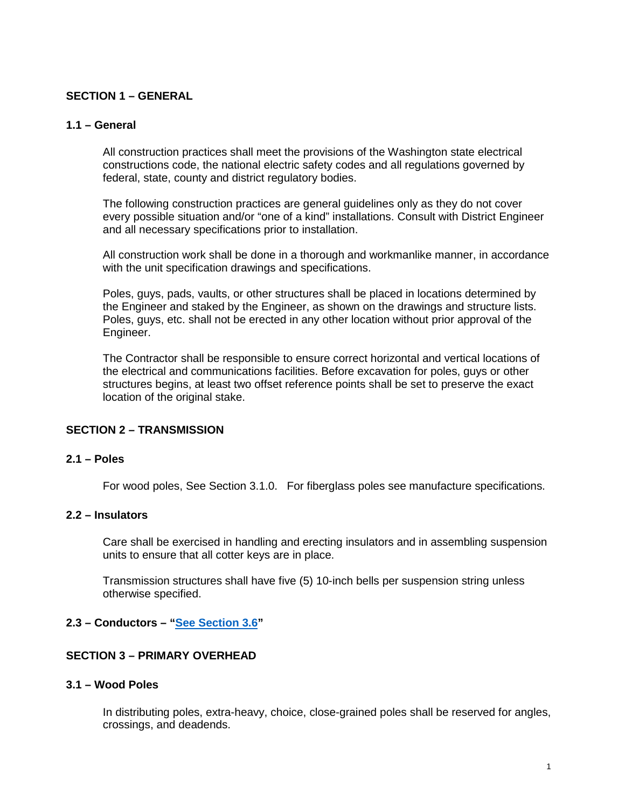### <span id="page-2-0"></span>**SECTION 1 – GENERAL**

### <span id="page-2-1"></span>**1.1 – General**

All construction practices shall meet the provisions of the Washington state electrical constructions code, the national electric safety codes and all regulations governed by federal, state, county and district regulatory bodies.

The following construction practices are general guidelines only as they do not cover every possible situation and/or "one of a kind" installations. Consult with District Engineer and all necessary specifications prior to installation.

All construction work shall be done in a thorough and workmanlike manner, in accordance with the unit specification drawings and specifications.

Poles, guys, pads, vaults, or other structures shall be placed in locations determined by the Engineer and staked by the Engineer, as shown on the drawings and structure lists. Poles, guys, etc. shall not be erected in any other location without prior approval of the Engineer.

The Contractor shall be responsible to ensure correct horizontal and vertical locations of the electrical and communications facilities. Before excavation for poles, guys or other structures begins, at least two offset reference points shall be set to preserve the exact location of the original stake.

#### <span id="page-2-2"></span>**SECTION 2 – TRANSMISSION**

#### <span id="page-2-3"></span>**2.1 – Poles**

For wood poles, See Section 3.1.0. For fiberglass poles see manufacture specifications.

#### <span id="page-2-4"></span>**2.2 – Insulators**

Care shall be exercised in handling and erecting insulators and in assembling suspension units to ensure that all cotter keys are in place.

Transmission structures shall have five (5) 10-inch bells per suspension string unless otherwise specified.

### <span id="page-2-5"></span>**2.3 – Conductors – ["See Section 3.6"](#page-4-6)**

#### <span id="page-2-6"></span>**SECTION 3 – PRIMARY OVERHEAD**

### <span id="page-2-7"></span>**3.1 – Wood Poles**

In distributing poles, extra-heavy, choice, close-grained poles shall be reserved for angles, crossings, and deadends.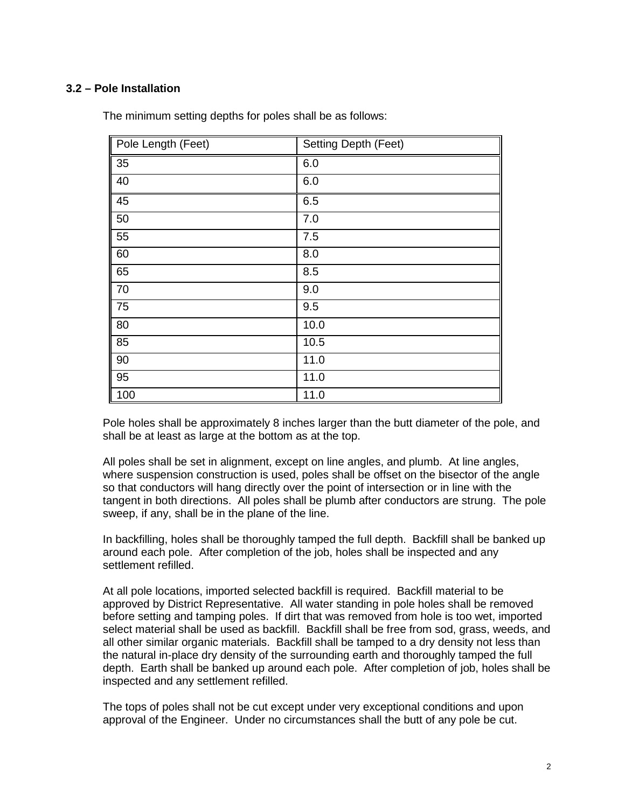# <span id="page-3-0"></span>**3.2 – Pole Installation**

| Pole Length (Feet) | <b>Setting Depth (Feet)</b> |
|--------------------|-----------------------------|
| 35                 | 6.0                         |
| 40                 | 6.0                         |
| 45                 | 6.5                         |
| 50                 | 7.0                         |
| 55                 | 7.5                         |
| 60                 | 8.0                         |
| 65                 | 8.5                         |
| 70                 | 9.0                         |
| 75                 | 9.5                         |
| 80                 | 10.0                        |
| 85                 | 10.5                        |
| 90                 | 11.0                        |
| 95                 | 11.0                        |
| 100                | 11.0                        |

The minimum setting depths for poles shall be as follows:

Pole holes shall be approximately 8 inches larger than the butt diameter of the pole, and shall be at least as large at the bottom as at the top.

All poles shall be set in alignment, except on line angles, and plumb. At line angles, where suspension construction is used, poles shall be offset on the bisector of the angle so that conductors will hang directly over the point of intersection or in line with the tangent in both directions. All poles shall be plumb after conductors are strung. The pole sweep, if any, shall be in the plane of the line.

In backfilling, holes shall be thoroughly tamped the full depth. Backfill shall be banked up around each pole. After completion of the job, holes shall be inspected and any settlement refilled.

At all pole locations, imported selected backfill is required. Backfill material to be approved by District Representative. All water standing in pole holes shall be removed before setting and tamping poles. If dirt that was removed from hole is too wet, imported select material shall be used as backfill. Backfill shall be free from sod, grass, weeds, and all other similar organic materials. Backfill shall be tamped to a dry density not less than the natural in-place dry density of the surrounding earth and thoroughly tamped the full depth. Earth shall be banked up around each pole. After completion of job, holes shall be inspected and any settlement refilled.

The tops of poles shall not be cut except under very exceptional conditions and upon approval of the Engineer. Under no circumstances shall the butt of any pole be cut.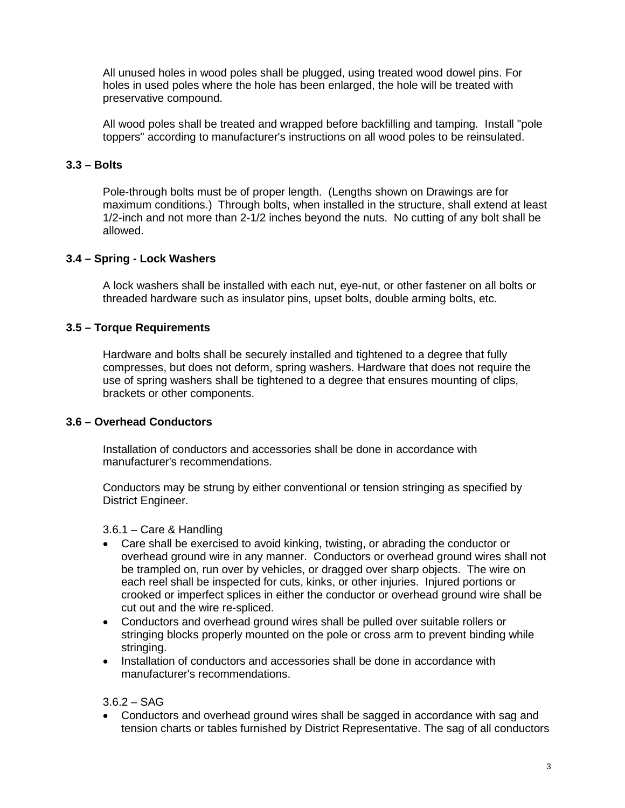All unused holes in wood poles shall be plugged, using treated wood dowel pins. For holes in used poles where the hole has been enlarged, the hole will be treated with preservative compound.

All wood poles shall be treated and wrapped before backfilling and tamping. Install "pole toppers" according to manufacturer's instructions on all wood poles to be reinsulated.

# <span id="page-4-0"></span>**3.3 – Bolts**

Pole-through bolts must be of proper length. (Lengths shown on Drawings are for maximum conditions.) Through bolts, when installed in the structure, shall extend at least 1/2-inch and not more than 2-1/2 inches beyond the nuts. No cutting of any bolt shall be allowed.

### <span id="page-4-1"></span>**3.4 – Spring - Lock Washers**

A lock washers shall be installed with each nut, eye-nut, or other fastener on all bolts or threaded hardware such as insulator pins, upset bolts, double arming bolts, etc.

# <span id="page-4-2"></span>**3.5 – Torque Requirements**

Hardware and bolts shall be securely installed and tightened to a degree that fully compresses, but does not deform, spring washers. Hardware that does not require the use of spring washers shall be tightened to a degree that ensures mounting of clips, brackets or other components.

### <span id="page-4-3"></span>**3.6 – Overhead Conductors**

<span id="page-4-6"></span>Installation of conductors and accessories shall be done in accordance with manufacturer's recommendations.

Conductors may be strung by either conventional or tension stringing as specified by District Engineer.

<span id="page-4-4"></span>3.6.1 – Care & Handling

- Care shall be exercised to avoid kinking, twisting, or abrading the conductor or overhead ground wire in any manner. Conductors or overhead ground wires shall not be trampled on, run over by vehicles, or dragged over sharp objects. The wire on each reel shall be inspected for cuts, kinks, or other injuries. Injured portions or crooked or imperfect splices in either the conductor or overhead ground wire shall be cut out and the wire re-spliced.
- Conductors and overhead ground wires shall be pulled over suitable rollers or stringing blocks properly mounted on the pole or cross arm to prevent binding while stringing.
- Installation of conductors and accessories shall be done in accordance with manufacturer's recommendations.

<span id="page-4-5"></span> $3.6.2 - SAG$ 

• Conductors and overhead ground wires shall be sagged in accordance with sag and tension charts or tables furnished by District Representative. The sag of all conductors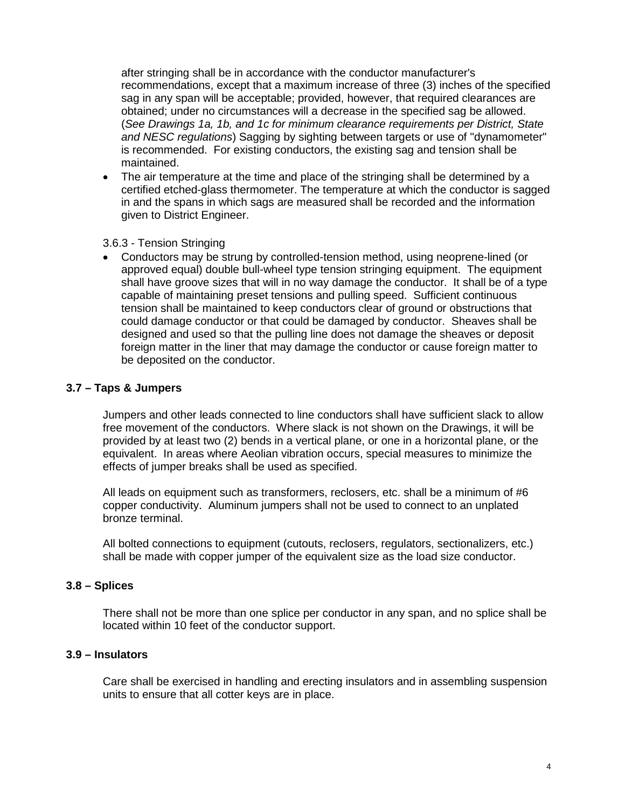after stringing shall be in accordance with the conductor manufacturer's recommendations, except that a maximum increase of three (3) inches of the specified sag in any span will be acceptable; provided, however, that required clearances are obtained; under no circumstances will a decrease in the specified sag be allowed. (*See Drawings 1a, 1b, and 1c for minimum clearance requirements per District, State and NESC regulations*) Sagging by sighting between targets or use of "dynamometer" is recommended. For existing conductors, the existing sag and tension shall be maintained.

• The air temperature at the time and place of the stringing shall be determined by a certified etched-glass thermometer. The temperature at which the conductor is sagged in and the spans in which sags are measured shall be recorded and the information given to District Engineer.

#### <span id="page-5-0"></span>3.6.3 - Tension Stringing

• Conductors may be strung by controlled-tension method, using neoprene-lined (or approved equal) double bull-wheel type tension stringing equipment. The equipment shall have groove sizes that will in no way damage the conductor. It shall be of a type capable of maintaining preset tensions and pulling speed. Sufficient continuous tension shall be maintained to keep conductors clear of ground or obstructions that could damage conductor or that could be damaged by conductor. Sheaves shall be designed and used so that the pulling line does not damage the sheaves or deposit foreign matter in the liner that may damage the conductor or cause foreign matter to be deposited on the conductor.

### <span id="page-5-1"></span>**3.7 – Taps & Jumpers**

Jumpers and other leads connected to line conductors shall have sufficient slack to allow free movement of the conductors. Where slack is not shown on the Drawings, it will be provided by at least two (2) bends in a vertical plane, or one in a horizontal plane, or the equivalent. In areas where Aeolian vibration occurs, special measures to minimize the effects of jumper breaks shall be used as specified.

All leads on equipment such as transformers, reclosers, etc. shall be a minimum of #6 copper conductivity. Aluminum jumpers shall not be used to connect to an unplated bronze terminal.

All bolted connections to equipment (cutouts, reclosers, regulators, sectionalizers, etc.) shall be made with copper jumper of the equivalent size as the load size conductor.

### <span id="page-5-2"></span>**3.8 – Splices**

There shall not be more than one splice per conductor in any span, and no splice shall be located within 10 feet of the conductor support.

#### <span id="page-5-3"></span>**3.9 – Insulators**

Care shall be exercised in handling and erecting insulators and in assembling suspension units to ensure that all cotter keys are in place.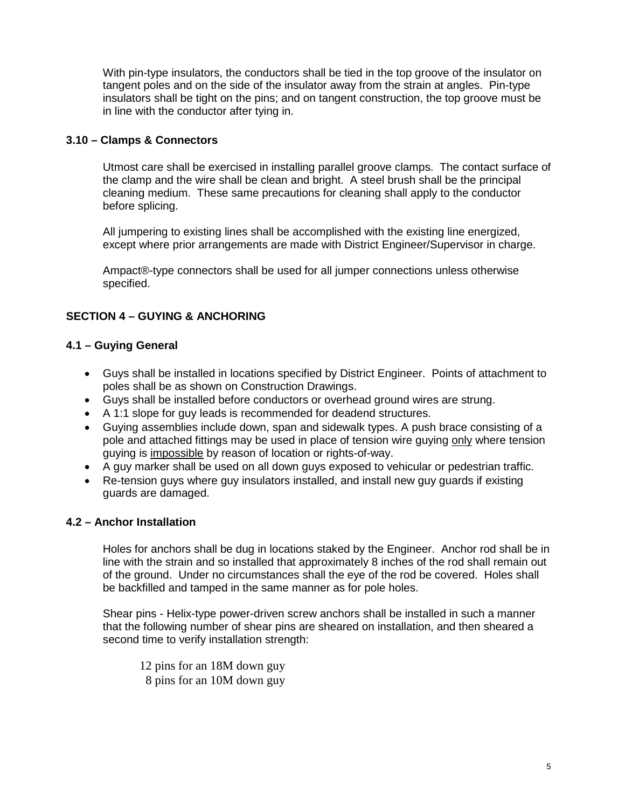With pin-type insulators, the conductors shall be tied in the top groove of the insulator on tangent poles and on the side of the insulator away from the strain at angles. Pin-type insulators shall be tight on the pins; and on tangent construction, the top groove must be in line with the conductor after tying in.

# <span id="page-6-0"></span>**3.10 – Clamps & Connectors**

Utmost care shall be exercised in installing parallel groove clamps. The contact surface of the clamp and the wire shall be clean and bright. A steel brush shall be the principal cleaning medium. These same precautions for cleaning shall apply to the conductor before splicing.

All jumpering to existing lines shall be accomplished with the existing line energized, except where prior arrangements are made with District Engineer/Supervisor in charge.

Ampact®-type connectors shall be used for all jumper connections unless otherwise specified.

# <span id="page-6-1"></span>**SECTION 4 – GUYING & ANCHORING**

# <span id="page-6-2"></span>**4.1 – Guying General**

- Guys shall be installed in locations specified by District Engineer. Points of attachment to poles shall be as shown on Construction Drawings.
- Guys shall be installed before conductors or overhead ground wires are strung.
- A 1:1 slope for guy leads is recommended for deadend structures.
- Guying assemblies include down, span and sidewalk types. A push brace consisting of a pole and attached fittings may be used in place of tension wire guying only where tension guying is impossible by reason of location or rights-of-way.
- A guy marker shall be used on all down guys exposed to vehicular or pedestrian traffic.
- Re-tension guys where guy insulators installed, and install new guy guards if existing guards are damaged.

# <span id="page-6-3"></span>**4.2 – Anchor Installation**

Holes for anchors shall be dug in locations staked by the Engineer. Anchor rod shall be in line with the strain and so installed that approximately 8 inches of the rod shall remain out of the ground. Under no circumstances shall the eye of the rod be covered. Holes shall be backfilled and tamped in the same manner as for pole holes.

Shear pins - Helix-type power-driven screw anchors shall be installed in such a manner that the following number of shear pins are sheared on installation, and then sheared a second time to verify installation strength:

12 pins for an 18M down guy 8 pins for an 10M down guy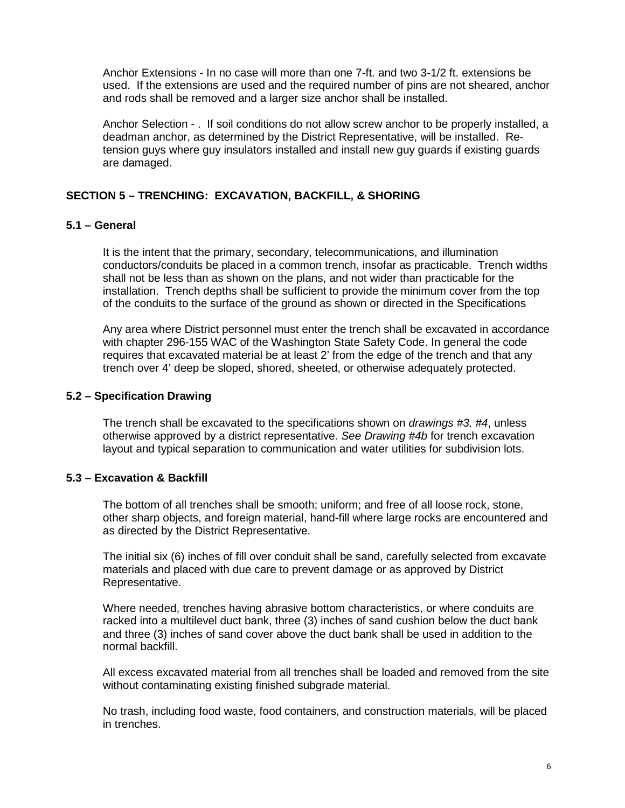Anchor Extensions - In no case will more than one 7-ft. and two 3-1/2 ft. extensions be used. If the extensions are used and the required number of pins are not sheared, anchor and rods shall be removed and a larger size anchor shall be installed.

Anchor Selection - . If soil conditions do not allow screw anchor to be properly installed, a deadman anchor, as determined by the District Representative, will be installed. Retension guys where guy insulators installed and install new guy guards if existing guards are damaged.

# <span id="page-7-0"></span>**SECTION 5 – TRENCHING: EXCAVATION, BACKFILL, & SHORING**

# <span id="page-7-1"></span>**5.1 – General**

<span id="page-7-4"></span>It is the intent that the primary, secondary, telecommunications, and illumination conductors/conduits be placed in a common trench, insofar as practicable. Trench widths shall not be less than as shown on the plans, and not wider than practicable for the installation. Trench depths shall be sufficient to provide the minimum cover from the top of the conduits to the surface of the ground as shown or directed in the Specifications

Any area where District personnel must enter the trench shall be excavated in accordance with chapter 296-155 WAC of the Washington State Safety Code. In general the code requires that excavated material be at least 2' from the edge of the trench and that any trench over 4' deep be sloped, shored, sheeted, or otherwise adequately protected.

### <span id="page-7-2"></span>**5.2 – Specification Drawing**

The trench shall be excavated to the specifications shown on *drawings #3, #4*, unless otherwise approved by a district representative. *See Drawing #4b* for trench excavation layout and typical separation to communication and water utilities for subdivision lots.

### <span id="page-7-3"></span>**5.3 – Excavation & Backfill**

The bottom of all trenches shall be smooth; uniform; and free of all loose rock, stone, other sharp objects, and foreign material, hand-fill where large rocks are encountered and as directed by the District Representative.

The initial six (6) inches of fill over conduit shall be sand, carefully selected from excavate materials and placed with due care to prevent damage or as approved by District Representative.

Where needed, trenches having abrasive bottom characteristics, or where conduits are racked into a multilevel duct bank, three (3) inches of sand cushion below the duct bank and three (3) inches of sand cover above the duct bank shall be used in addition to the normal backfill.

All excess excavated material from all trenches shall be loaded and removed from the site without contaminating existing finished subgrade material.

No trash, including food waste, food containers, and construction materials, will be placed in trenches.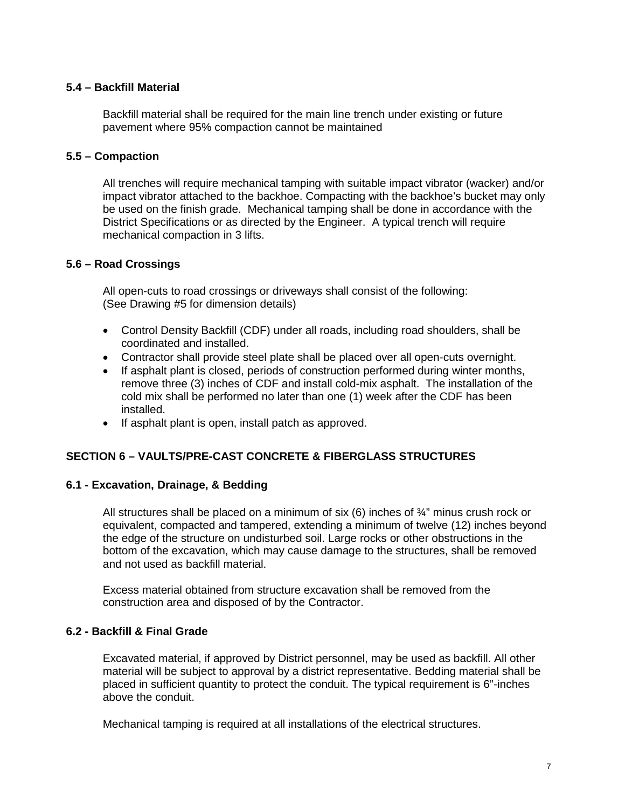# <span id="page-8-0"></span>**5.4 – Backfill Material**

Backfill material shall be required for the main line trench under existing or future pavement where 95% compaction cannot be maintained

### <span id="page-8-1"></span>**5.5 – Compaction**

All trenches will require mechanical tamping with suitable impact vibrator (wacker) and/or impact vibrator attached to the backhoe. Compacting with the backhoe's bucket may only be used on the finish grade. Mechanical tamping shall be done in accordance with the District Specifications or as directed by the Engineer. A typical trench will require mechanical compaction in 3 lifts.

### <span id="page-8-2"></span>**5.6 – Road Crossings**

All open-cuts to road crossings or driveways shall consist of the following: (See Drawing #5 for dimension details)

- Control Density Backfill (CDF) under all roads, including road shoulders, shall be coordinated and installed.
- Contractor shall provide steel plate shall be placed over all open-cuts overnight.
- If asphalt plant is closed, periods of construction performed during winter months, remove three (3) inches of CDF and install cold-mix asphalt. The installation of the cold mix shall be performed no later than one (1) week after the CDF has been installed.
- If asphalt plant is open, install patch as approved.

### <span id="page-8-3"></span>**SECTION 6 – VAULTS/PRE-CAST CONCRETE & FIBERGLASS STRUCTURES**

#### <span id="page-8-4"></span>**6.1 - Excavation, Drainage, & Bedding**

All structures shall be placed on a minimum of six  $(6)$  inches of  $\frac{3}{4}$ " minus crush rock or equivalent, compacted and tampered, extending a minimum of twelve (12) inches beyond the edge of the structure on undisturbed soil. Large rocks or other obstructions in the bottom of the excavation, which may cause damage to the structures, shall be removed and not used as backfill material.

Excess material obtained from structure excavation shall be removed from the construction area and disposed of by the Contractor.

### <span id="page-8-5"></span>**6.2 - Backfill & Final Grade**

Excavated material, if approved by District personnel, may be used as backfill. All other material will be subject to approval by a district representative. Bedding material shall be placed in sufficient quantity to protect the conduit. The typical requirement is 6"-inches above the conduit.

Mechanical tamping is required at all installations of the electrical structures.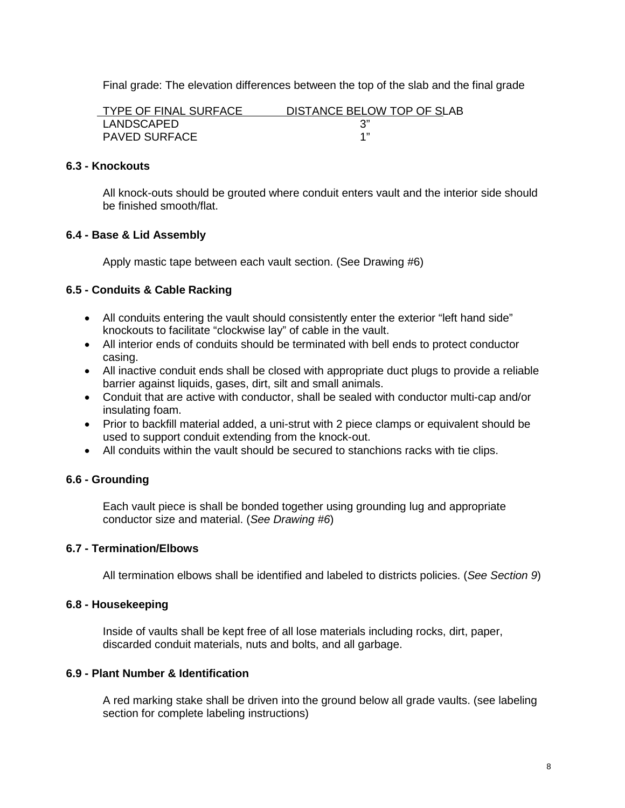Final grade: The elevation differences between the top of the slab and the final grade

| <b>TYPE OF FINAL SURFACE</b> | DISTANCE BELOW TOP OF SLAB |
|------------------------------|----------------------------|
| LANDSCAPED                   |                            |
| <b>PAVED SURFACE</b>         |                            |

### <span id="page-9-0"></span>**6.3 - Knockouts**

All knock-outs should be grouted where conduit enters vault and the interior side should be finished smooth/flat.

### <span id="page-9-1"></span>**6.4 - Base & Lid Assembly**

Apply mastic tape between each vault section. (See Drawing #6)

### <span id="page-9-2"></span>**6.5 - Conduits & Cable Racking**

- All conduits entering the vault should consistently enter the exterior "left hand side" knockouts to facilitate "clockwise lay" of cable in the vault.
- All interior ends of conduits should be terminated with bell ends to protect conductor casing.
- All inactive conduit ends shall be closed with appropriate duct plugs to provide a reliable barrier against liquids, gases, dirt, silt and small animals.
- Conduit that are active with conductor, shall be sealed with conductor multi-cap and/or insulating foam.
- Prior to backfill material added, a uni-strut with 2 piece clamps or equivalent should be used to support conduit extending from the knock-out.
- All conduits within the vault should be secured to stanchions racks with tie clips.

### <span id="page-9-3"></span>**6.6 - Grounding**

Each vault piece is shall be bonded together using grounding lug and appropriate conductor size and material. (*See Drawing #6*)

#### <span id="page-9-4"></span>**6.7 - Termination/Elbows**

All termination elbows shall be identified and labeled to districts policies. (*See Section 9*)

#### <span id="page-9-5"></span>**6.8 - Housekeeping**

Inside of vaults shall be kept free of all lose materials including rocks, dirt, paper, discarded conduit materials, nuts and bolts, and all garbage.

### <span id="page-9-6"></span>**6.9 - Plant Number & Identification**

A red marking stake shall be driven into the ground below all grade vaults. (see labeling section for complete labeling instructions)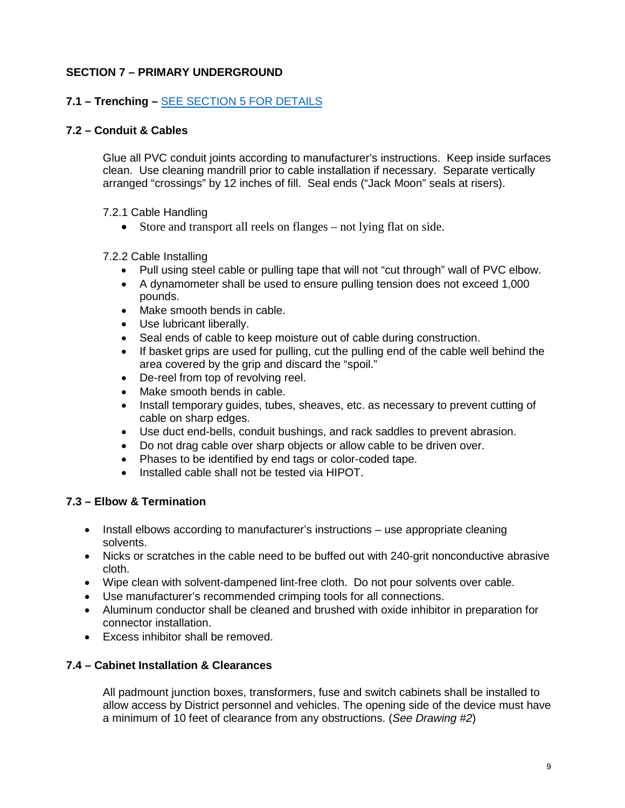# <span id="page-10-0"></span>**SECTION 7 – PRIMARY UNDERGROUND**

# <span id="page-10-1"></span>**7.1 – Trenching –** [SEE SECTION 5 FOR DETAILS](#page-7-4)

# <span id="page-10-2"></span>**7.2 – Conduit & Cables**

Glue all PVC conduit joints according to manufacturer's instructions. Keep inside surfaces clean. Use cleaning mandrill prior to cable installation if necessary. Separate vertically arranged "crossings" by 12 inches of fill. Seal ends ("Jack Moon" seals at risers).

### <span id="page-10-3"></span>7.2.1 Cable Handling

• Store and transport all reels on flanges – not lying flat on side.

### <span id="page-10-4"></span>7.2.2 Cable Installing

- Pull using steel cable or pulling tape that will not "cut through" wall of PVC elbow.
- A dynamometer shall be used to ensure pulling tension does not exceed 1,000 pounds.
- Make smooth bends in cable.
- Use lubricant liberally.
- Seal ends of cable to keep moisture out of cable during construction.
- If basket grips are used for pulling, cut the pulling end of the cable well behind the area covered by the grip and discard the "spoil."
- De-reel from top of revolving reel.
- Make smooth bends in cable.
- Install temporary guides, tubes, sheaves, etc. as necessary to prevent cutting of cable on sharp edges.
- Use duct end-bells, conduit bushings, and rack saddles to prevent abrasion.
- Do not drag cable over sharp objects or allow cable to be driven over.
- Phases to be identified by end tags or color-coded tape.
- Installed cable shall not be tested via HIPOT.

### <span id="page-10-5"></span>**7.3 – Elbow & Termination**

- Install elbows according to manufacturer's instructions use appropriate cleaning solvents.
- Nicks or scratches in the cable need to be buffed out with 240-grit nonconductive abrasive cloth.
- Wipe clean with solvent-dampened lint-free cloth. Do not pour solvents over cable.
- Use manufacturer's recommended crimping tools for all connections.
- Aluminum conductor shall be cleaned and brushed with oxide inhibitor in preparation for connector installation.
- Excess inhibitor shall be removed.

### <span id="page-10-6"></span>**7.4 – Cabinet Installation & Clearances**

All padmount junction boxes, transformers, fuse and switch cabinets shall be installed to allow access by District personnel and vehicles. The opening side of the device must have a minimum of 10 feet of clearance from any obstructions. (*See Drawing #2*)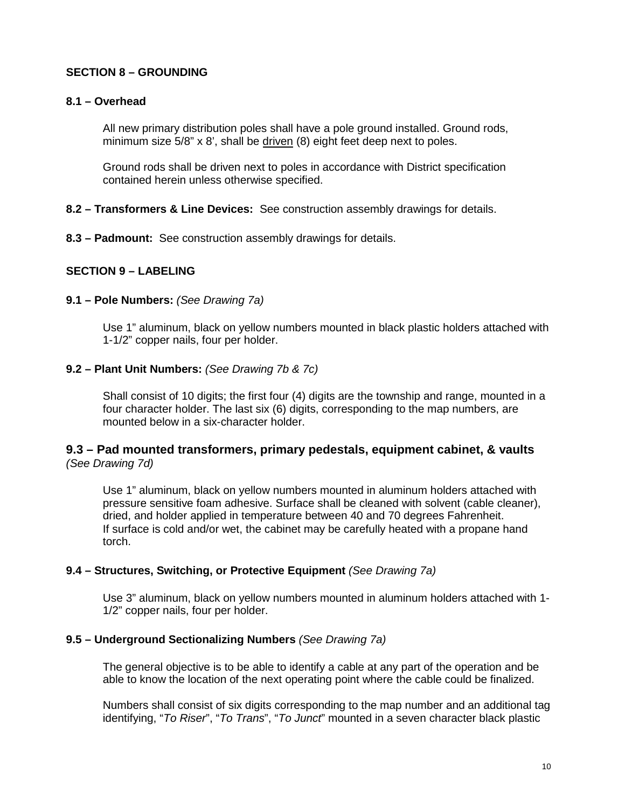# <span id="page-11-0"></span>**SECTION 8 – GROUNDING**

### <span id="page-11-1"></span>**8.1 – Overhead**

All new primary distribution poles shall have a pole ground installed. Ground rods, minimum size 5/8" x 8', shall be driven (8) eight feet deep next to poles.

Ground rods shall be driven next to poles in accordance with District specification contained herein unless otherwise specified.

### <span id="page-11-2"></span>**8.2 – Transformers & Line Devices:** See construction assembly drawings for details.

<span id="page-11-3"></span>**8.3 – Padmount:** See construction assembly drawings for details.

### <span id="page-11-4"></span>**SECTION 9 – LABELING**

### <span id="page-11-5"></span>**9.1 – Pole Numbers:** *(See Drawing 7a)*

Use 1" aluminum, black on yellow numbers mounted in black plastic holders attached with 1-1/2" copper nails, four per holder.

### <span id="page-11-6"></span>**9.2 – Plant Unit Numbers:** *(See Drawing 7b & 7c)*

Shall consist of 10 digits; the first four (4) digits are the township and range, mounted in a four character holder. The last six (6) digits, corresponding to the map numbers, are mounted below in a six-character holder.

### <span id="page-11-7"></span>**9.3 – Pad mounted transformers, primary pedestals, equipment cabinet, & vaults** *(See Drawing 7d)*

Use 1" aluminum, black on yellow numbers mounted in aluminum holders attached with pressure sensitive foam adhesive. Surface shall be cleaned with solvent (cable cleaner), dried, and holder applied in temperature between 40 and 70 degrees Fahrenheit. If surface is cold and/or wet, the cabinet may be carefully heated with a propane hand torch.

#### <span id="page-11-8"></span>**9.4 – Structures, Switching, or Protective Equipment** *(See Drawing 7a)*

Use 3" aluminum, black on yellow numbers mounted in aluminum holders attached with 1- 1/2" copper nails, four per holder.

#### <span id="page-11-9"></span>**9.5 – Underground Sectionalizing Numbers** *(See Drawing 7a)*

The general objective is to be able to identify a cable at any part of the operation and be able to know the location of the next operating point where the cable could be finalized.

Numbers shall consist of six digits corresponding to the map number and an additional tag identifying, "*To Riser*", "*To Trans*", "*To Junct*" mounted in a seven character black plastic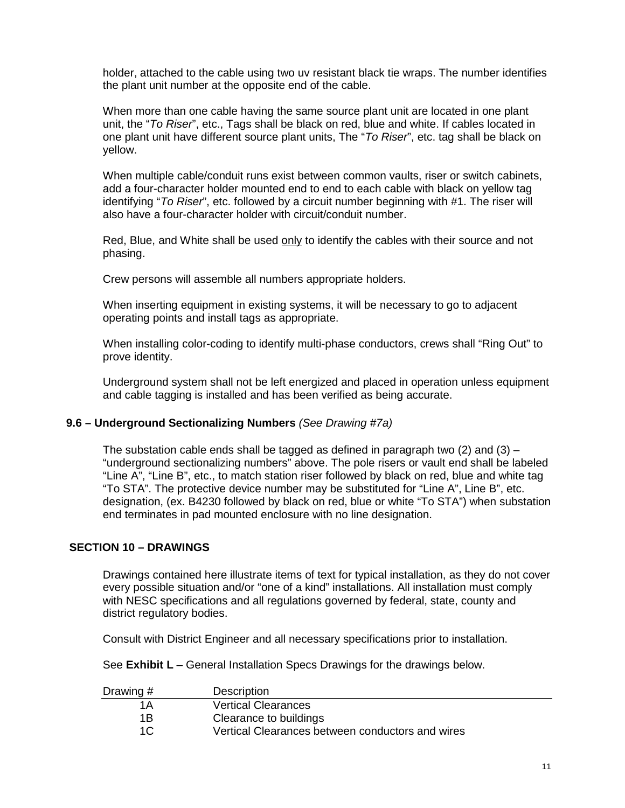holder, attached to the cable using two uv resistant black tie wraps. The number identifies the plant unit number at the opposite end of the cable.

When more than one cable having the same source plant unit are located in one plant unit, the "*To Riser*", etc., Tags shall be black on red, blue and white. If cables located in one plant unit have different source plant units, The "*To Riser*", etc. tag shall be black on yellow.

When multiple cable/conduit runs exist between common vaults, riser or switch cabinets, add a four-character holder mounted end to end to each cable with black on yellow tag identifying "*To Riser*", etc. followed by a circuit number beginning with #1. The riser will also have a four-character holder with circuit/conduit number.

Red, Blue, and White shall be used only to identify the cables with their source and not phasing.

Crew persons will assemble all numbers appropriate holders.

When inserting equipment in existing systems, it will be necessary to go to adjacent operating points and install tags as appropriate.

When installing color-coding to identify multi-phase conductors, crews shall "Ring Out" to prove identity.

Underground system shall not be left energized and placed in operation unless equipment and cable tagging is installed and has been verified as being accurate.

#### <span id="page-12-0"></span>**9.6 – Underground Sectionalizing Numbers** *(See Drawing #7a)*

The substation cable ends shall be tagged as defined in paragraph two (2) and (3)  $-$ "underground sectionalizing numbers" above. The pole risers or vault end shall be labeled "Line A", "Line B", etc., to match station riser followed by black on red, blue and white tag "To STA". The protective device number may be substituted for "Line A", Line B", etc. designation, (ex. B4230 followed by black on red, blue or white "To STA") when substation end terminates in pad mounted enclosure with no line designation.

#### <span id="page-12-1"></span>**SECTION 10 – DRAWINGS**

Drawings contained here illustrate items of text for typical installation, as they do not cover every possible situation and/or "one of a kind" installations. All installation must comply with NESC specifications and all regulations governed by federal, state, county and district regulatory bodies.

Consult with District Engineer and all necessary specifications prior to installation.

See **Exhibit L** – General Installation Specs Drawings for the drawings below.

| Drawing # | <b>Description</b>                               |
|-----------|--------------------------------------------------|
| 1 A       | <b>Vertical Clearances</b>                       |
| 1R        | Clearance to buildings                           |
| 1C        | Vertical Clearances between conductors and wires |